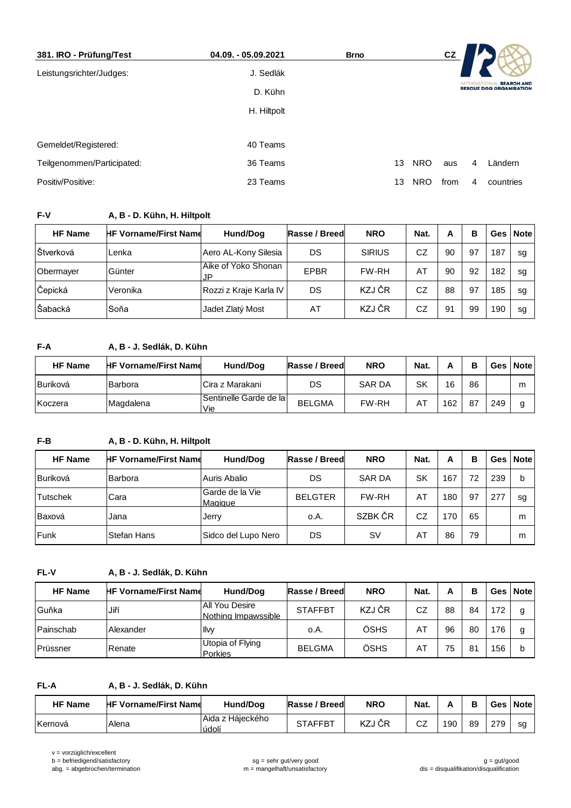| 381. IRO - Prüfung/Test    | 04.09. - 05.09.2021 | <b>Brno</b> | cz                 |                                                     |
|----------------------------|---------------------|-------------|--------------------|-----------------------------------------------------|
| Leistungsrichter/Judges:   | J. Sedlák           |             |                    |                                                     |
|                            | D. Kühn             |             |                    | <b>SEARCH AND</b><br><b>RESCUE DOG ORGANISATION</b> |
|                            | H. Hiltpolt         |             |                    |                                                     |
|                            |                     |             |                    |                                                     |
| Gemeldet/Registered:       | 40 Teams            |             |                    |                                                     |
| Teilgenommen/Participated: | 36 Teams            | 13          | <b>NRO</b><br>aus  | Ländern<br>4                                        |
| Positiv/Positive:          | 23 Teams            | 13          | <b>NRO</b><br>from | countries<br>4                                      |

# **F-V A, B - D. Kühn, H. Hiltpolt**

| <b>HF Name</b> | <b>HF Vorname/First Name</b> | Hund/Dog                   | Rasse / Breed | <b>NRO</b>    | Nat. | А  | в  | <b>Ges</b> | <b>Note</b> |
|----------------|------------------------------|----------------------------|---------------|---------------|------|----|----|------------|-------------|
| Štverková      | Lenka                        | Aero AL-Kony Silesia       | DS            | <b>SIRIUS</b> | CZ   | 90 | 97 | 187        | sq          |
| Obermayer      | Günter                       | Aike of Yoko Shonan<br>.JP | EPBR          | FW-RH         | AT   | 90 | 92 | 182        | sa          |
| Čepická        | Veronika                     | Rozzi z Kraje Karla IV     | DS            | KZJ ČR        | CZ   | 88 | 97 | 185        | sq          |
| Šabacká        | Soňa                         | Jadet Zlatý Most           | AT            | KZJ ČR        | CZ   | 91 | 99 | 190        | sq          |

# **F-A A, B - J. Sedlák, D. Kühn**

| <b>HF Name</b>   | <b>HF Vorname/First Name</b> | Hund/Dog                        | Rasse / Breed | <b>NRO</b>    | Nat. | n   | в  |     | Ges   Note |
|------------------|------------------------------|---------------------------------|---------------|---------------|------|-----|----|-----|------------|
| <b>IBuriková</b> | <b>Barbora</b>               | Cira z Marakani                 | DS            | <b>SAR DA</b> | SK   | 16  | 86 |     | m          |
| Koczera          | Magdalena                    | Sentinelle Garde de la l<br>Vie | <b>BELGMA</b> | <b>FW-RH</b>  | AT   | 162 | 87 | 249 |            |

# **F-B A, B - D. Kühn, H. Hiltpolt**

| <b>HF Name</b>  | <b>HF Vorname/First Name</b> | Hund/Dog                   | Rasse / Breed  | <b>NRO</b>    | Nat. | А   | в  |     | Ges   Note |
|-----------------|------------------------------|----------------------------|----------------|---------------|------|-----|----|-----|------------|
| <b>Buriková</b> | Barbora                      | Auris Abalio               | DS             | <b>SAR DA</b> | SK   | 167 | 72 | 239 |            |
| <b>Tutschek</b> | Cara                         | Garde de la Vie<br>Magique | <b>BELGTER</b> | <b>FW-RH</b>  | AT   | 180 | 97 | 277 | sa         |
| Baxová          | Jana                         | Jerry                      | o.A.           | SZBK ČR       | CZ   | 70  | 65 |     | m          |
| <b>Funk</b>     | <b>Stefan Hans</b>           | Sidco del Lupo Nero        | DS             | <b>SV</b>     | AT   | 86  | 79 |     | m          |

## **FL-V A, B - J. Sedlák, D. Kühn**

| <b>HF Name</b>   | <b>HF Vorname/First Name</b> | Hund/Dog                              | Rasse / Breed  | <b>NRO</b> | Nat. | А  | в  |     | Ges   Note |
|------------------|------------------------------|---------------------------------------|----------------|------------|------|----|----|-----|------------|
| Guňka            | Jiří                         | All You Desire<br>Nothing Impawssible | <b>STAFFBT</b> | KZJ ČR     | CZ   | 88 | 84 | 172 |            |
| Painschab        | Alexander                    | llw                                   | 0.A.           | ÖSHS       | AT   | 96 | 80 | 176 |            |
| <b>IPrüssner</b> | Renate                       | Utopia of Flying<br>Porkies           | <b>BELGMA</b>  | ÖSHS       | AT   | 75 | 81 | 156 |            |

#### **FL-A A, B - J. Sedlák, D. Kühn**

| <b>HF Name</b> | <b>HF Vorname/First Name</b> | Hund/Dog                  | Rasse / Breed  | <b>NRO</b> | Nat.         | n   | В  |     | Ges Note |
|----------------|------------------------------|---------------------------|----------------|------------|--------------|-----|----|-----|----------|
| Kernová        | Alena                        | Aida z Háieckého<br>údolí | <b>STAFFBT</b> | KZJ ČR     | $\sim$<br>UZ | 190 | 89 | 27Q | sa       |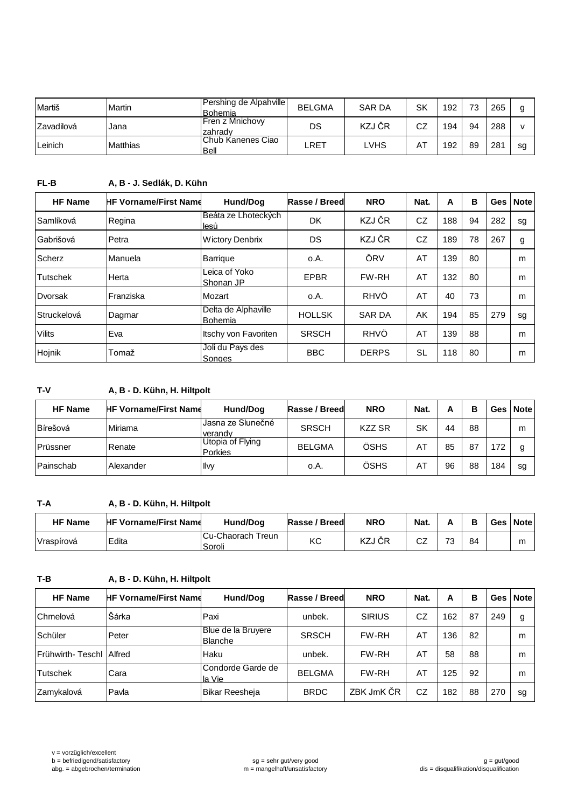| Martiš     | Martin          | Pershing de Alpahville<br>lBohemia  | <b>BELGMA</b> | <b>SAR DA</b> | SK | 192 | 73 | 265 |    |
|------------|-----------------|-------------------------------------|---------------|---------------|----|-----|----|-----|----|
| Zavadilová | Jana            | <b>IFren z Mnichovv</b><br>Izahradv | DS            | KZJ ČR        | CZ | 194 | 94 | 288 |    |
| ∟einich    | <b>Matthias</b> | IChub Kanenes Ciao<br><b>Bell</b>   | LRET          | ∟VHS          | AT | 192 | 89 | 281 | sg |

# **FL-B A, B - J. Sedlák, D. Kühn**

| <b>HF Name</b>  | <b>HF Vorname/First Name</b> | Hund/Dog                       | Rasse / Breed | <b>NRO</b>    | Nat.      | Α   | в  | Ges | <b>Note</b> |
|-----------------|------------------------------|--------------------------------|---------------|---------------|-----------|-----|----|-----|-------------|
| Samlíková       | Regina                       | Beáta ze Lhoteckých<br>lesů    | DK            | KZJ ČR        | CZ        | 188 | 94 | 282 | sg          |
| Gabrišová       | Petra                        | <b>Wictory Denbrix</b>         | DS            | KZJ ČR        | CZ        | 189 | 78 | 267 | g           |
| Scherz          | Manuela                      | Barrique                       | o.A.          | ÖRV           | AT        | 139 | 80 |     | m           |
| <b>Tutschek</b> | Herta                        | Leica of Yoko<br>Shonan JP     | EPBR          | <b>FW-RH</b>  | AT        | 132 | 80 |     | m           |
| Dvorsak         | Franziska                    | Mozart                         | o.A.          | <b>RHVÖ</b>   | AT        | 40  | 73 |     | m           |
| Struckelová     | Dagmar                       | Delta de Alphaville<br>Bohemia | <b>HOLLSK</b> | <b>SAR DA</b> | AK        | 194 | 85 | 279 | sg          |
| <b>Vilits</b>   | Eva                          | Itschy von Favoriten           | <b>SRSCH</b>  | <b>RHVÖ</b>   | AT        | 139 | 88 |     | m           |
| Hojnik          | lTomaž                       | Joli du Pays des<br>Songes     | <b>BBC</b>    | <b>DERPS</b>  | <b>SL</b> | 118 | 80 |     | m           |

## **T-V A, B - D. Kühn, H. Hiltpolt**

| <b>HF Name</b> | <b>HF Vorname/First Name</b> | Hund/Dog                     | Rasse / Breed | <b>NRO</b>    | Nat. | А  | в  |     | Ges   Note |
|----------------|------------------------------|------------------------------|---------------|---------------|------|----|----|-----|------------|
| Bírešová       | Miriama                      | Jasna ze Slunečné<br>verandy | <b>SRSCH</b>  | <b>KZZ SR</b> | SK   | 44 | 88 |     | m          |
| Prüssner       | Renate                       | Utopia of Flying<br>Porkies  | <b>BELGMA</b> | ÖSHS          | AT   | 85 | 87 | 72  |            |
| Painschab      | Alexander                    | Ilvy                         | 0.A.          | ÖSHS          | AT   | 96 | 88 | 184 | sg         |

#### **T-A A, B - D. Kühn, H. Hiltpolt**

| <b>HF Name</b> | <b>HF Vorname/First Name</b> | Hund/Dog                     | Rasse / Breed | <b>NRO</b> | Nat. |    |    | Ges l | <b>Note</b> |
|----------------|------------------------------|------------------------------|---------------|------------|------|----|----|-------|-------------|
| Vraspírová     | Edita                        | ICu-Chaorach Treun<br>Soroli | КC            | KZJ ČR     | ےں   | 72 | 84 |       | r           |

#### **T-B A, B - D. Kühn, H. Hiltpolt**

| <b>HF Name</b>            | <b>HF Vorname/First Name</b> | Hund/Dog                             | Rasse / Breed | <b>NRO</b>    | Nat. | А   | в  | <b>Ges</b> | <b>Note</b> |
|---------------------------|------------------------------|--------------------------------------|---------------|---------------|------|-----|----|------------|-------------|
| Chmelová                  | Šárka                        | Paxi                                 | unbek.        | <b>SIRIUS</b> | CZ   | 162 | 87 | 249        | g           |
| Schüler                   | Peter                        | Blue de la Bruyere<br><b>Blanche</b> | <b>SRSCH</b>  | <b>FW-RH</b>  | AT   | 136 | 82 |            | m           |
| Frühwirth-Teschl   Alfred |                              | <b>Haku</b>                          | unbek.        | <b>FW-RH</b>  | AT   | 58  | 88 |            | m           |
| <b>Tutschek</b>           | Cara                         | Condorde Garde de<br>la Vie          | <b>BELGMA</b> | <b>FW-RH</b>  | AT   | 125 | 92 |            | m           |
| Zamykalová                | Pavla                        | Bikar Reesheja                       | <b>BRDC</b>   | ZBK JmK ČR    | CZ   | 182 | 88 | 270        | sg          |